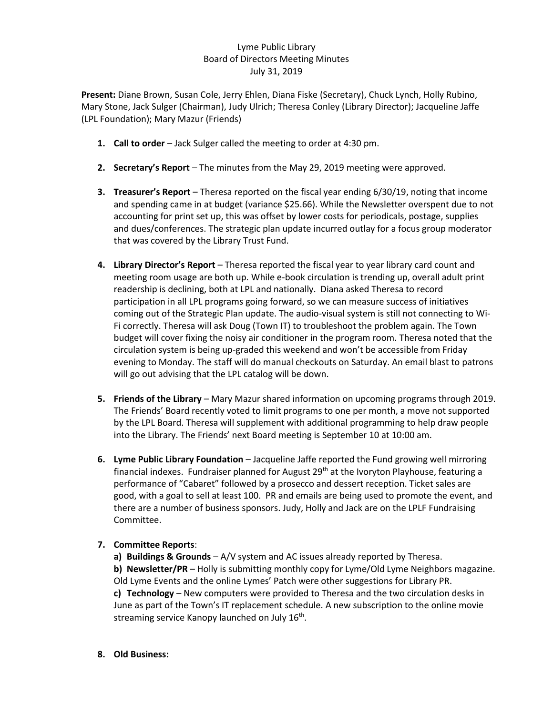## Lyme Public Library Board of Directors Meeting Minutes July 31, 2019

**Present:** Diane Brown, Susan Cole, Jerry Ehlen, Diana Fiske (Secretary), Chuck Lynch, Holly Rubino, Mary Stone, Jack Sulger (Chairman), Judy Ulrich; Theresa Conley (Library Director); Jacqueline Jaffe (LPL Foundation); Mary Mazur (Friends)

- **1. Call to order** Jack Sulger called the meeting to order at 4:30 pm.
- **2. Secretary's Report** The minutes from the May 29, 2019 meeting were approved.
- **3. Treasurer's Report** Theresa reported on the fiscal year ending 6/30/19, noting that income and spending came in at budget (variance \$25.66). While the Newsletter overspent due to not accounting for print set up, this was offset by lower costs for periodicals, postage, supplies and dues/conferences. The strategic plan update incurred outlay for a focus group moderator that was covered by the Library Trust Fund.
- **4. Library Director's Report** Theresa reported the fiscal year to year library card count and meeting room usage are both up. While e-book circulation is trending up, overall adult print readership is declining, both at LPL and nationally. Diana asked Theresa to record participation in all LPL programs going forward, so we can measure success of initiatives coming out of the Strategic Plan update. The audio-visual system is still not connecting to Wi-Fi correctly. Theresa will ask Doug (Town IT) to troubleshoot the problem again. The Town budget will cover fixing the noisy air conditioner in the program room. Theresa noted that the circulation system is being up-graded this weekend and won't be accessible from Friday evening to Monday. The staff will do manual checkouts on Saturday. An email blast to patrons will go out advising that the LPL catalog will be down.
- **5. Friends of the Library**  Mary Mazur shared information on upcoming programs through 2019. The Friends' Board recently voted to limit programs to one per month, a move not supported by the LPL Board. Theresa will supplement with additional programming to help draw people into the Library. The Friends' next Board meeting is September 10 at 10:00 am.
- **6. Lyme Public Library Foundation** Jacqueline Jaffe reported the Fund growing well mirroring financial indexes. Fundraiser planned for August 29<sup>th</sup> at the Ivoryton Playhouse, featuring a performance of "Cabaret" followed by a prosecco and dessert reception. Ticket sales are good, with a goal to sell at least 100. PR and emails are being used to promote the event, and there are a number of business sponsors. Judy, Holly and Jack are on the LPLF Fundraising Committee.

## **7. Committee Reports**:

**a) Buildings & Grounds** – A/V system and AC issues already reported by Theresa. **b) Newsletter/PR** – Holly is submitting monthly copy for Lyme/Old Lyme Neighbors magazine. Old Lyme Events and the online Lymes' Patch were other suggestions for Library PR. **c) Technology** – New computers were provided to Theresa and the two circulation desks in June as part of the Town's IT replacement schedule. A new subscription to the online movie streaming service Kanopy launched on July  $16^{th}$ .

**8. Old Business:**